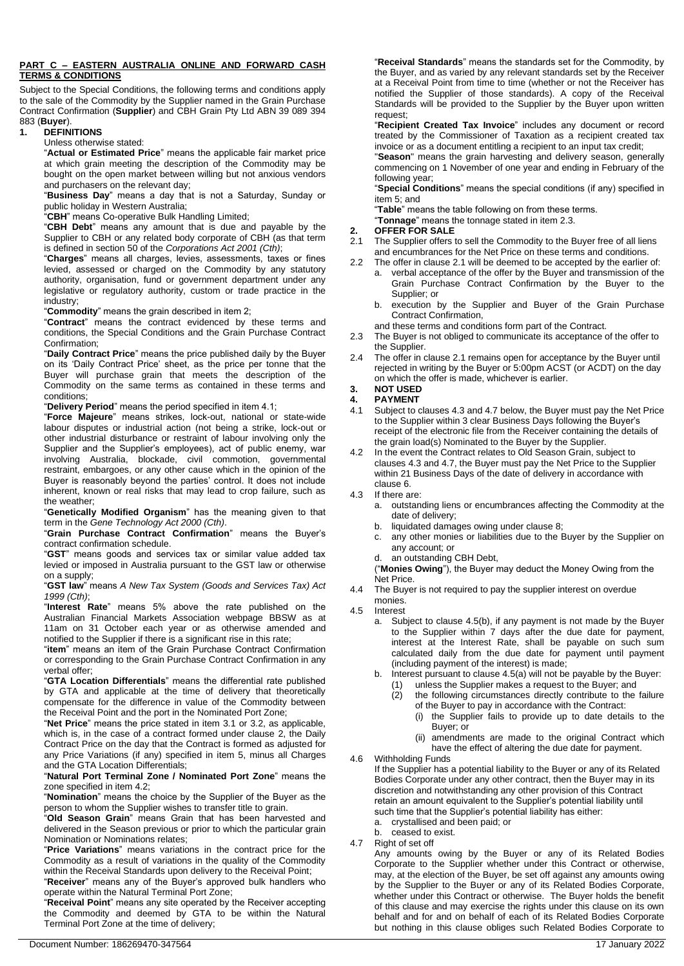#### **PART C – EASTERN AUSTRALIA ONLINE AND FORWARD CASH TERMS & CONDITIONS**

Subject to the Special Conditions, the following terms and conditions apply to the sale of the Commodity by the Supplier named in the Grain Purchase Contract Confirmation (**Supplier**) and CBH Grain Pty Ltd ABN 39 089 394

#### 883 (**Buyer**). **1. DEFINITIONS**

Unless otherwise stated:

"**Actual or Estimated Price**" means the applicable fair market price at which grain meeting the description of the Commodity may be bought on the open market between willing but not anxious vendors and purchasers on the relevant day;

"**Business Day**" means a day that is not a Saturday, Sunday or public holiday in Western Australia;

"**CBH**" means Co-operative Bulk Handling Limited;

"**CBH Debt**" means any amount that is due and payable by the Supplier to CBH or any related body corporate of CBH (as that term is defined in section 50 of the *Corporations Act 2001 (Cth)*;

"**Charges**" means all charges, levies, assessments, taxes or fines levied, assessed or charged on the Commodity by any statutory authority, organisation, fund or government department under any legislative or regulatory authority, custom or trade practice in the industry;

"**Commodity**" means the grain described in item 2;

"**Contract**" means the contract evidenced by these terms and conditions, the Special Conditions and the Grain Purchase Contract Confirmation;

"**Daily Contract Price**" means the price published daily by the Buyer on its 'Daily Contract Price' sheet, as the price per tonne that the Buyer will purchase grain that meets the description of the Commodity on the same terms as contained in these terms and conditions;

"**Delivery Period**" means the period specified in item 4.1;

"**Force Majeure**" means strikes, lock-out, national or state-wide labour disputes or industrial action (not being a strike, lock-out or other industrial disturbance or restraint of labour involving only the Supplier and the Supplier's employees), act of public enemy, war involving Australia, blockade, civil commotion, governmental restraint, embargoes, or any other cause which in the opinion of the Buyer is reasonably beyond the parties' control. It does not include inherent, known or real risks that may lead to crop failure, such as the weather;

"**Genetically Modified Organism**" has the meaning given to that term in the *Gene Technology Act 2000 (Cth)*.

"**Grain Purchase Contract Confirmation**" means the Buyer's contract confirmation schedule.

"**GST**" means goods and services tax or similar value added tax levied or imposed in Australia pursuant to the GST law or otherwise on a supply;

"**GST law**" means *A New Tax System (Goods and Services Tax) Act 1999 (Cth)*;

"**Interest Rate**" means 5% above the rate published on the Australian Financial Markets Association webpage BBSW as at 11am on 31 October each year or as otherwise amended and notified to the Supplier if there is a significant rise in this rate;

"**item**" means an item of the Grain Purchase Contract Confirmation or corresponding to the Grain Purchase Contract Confirmation in any verbal offer;

"**GTA Location Differentials**" means the differential rate published by GTA and applicable at the time of delivery that theoretically compensate for the difference in value of the Commodity between the Receival Point and the port in the Nominated Port Zone;

"**Net Price**" means the price stated in item 3.1 or 3.2, as applicable, which is, in the case of a contract formed under clause [2,](#page-0-0) the Daily Contract Price on the day that the Contract is formed as adjusted for any Price Variations (if any) specified in item 5, minus all Charges and the GTA Location Differentials;

#### "**Natural Port Terminal Zone / Nominated Port Zone**" means the zone specified in item 4.2;

"**Nomination**" means the choice by the Supplier of the Buyer as the person to whom the Supplier wishes to transfer title to grain.

"**Old Season Grain**" means Grain that has been harvested and delivered in the Season previous or prior to which the particular grain Nomination or Nominations relates;

"**Price Variations**" means variations in the contract price for the Commodity as a result of variations in the quality of the Commodity within the Receival Standards upon delivery to the Receival Point;

"**Receiver**" means any of the Buyer's approved bulk handlers who operate within the Natural Terminal Port Zone;

"**Receival Point**" means any site operated by the Receiver accepting the Commodity and deemed by GTA to be within the Natural Terminal Port Zone at the time of delivery;

"**Receival Standards**" means the standards set for the Commodity, by the Buyer, and as varied by any relevant standards set by the Receiver at a Receival Point from time to time (whether or not the Receiver has notified the Supplier of those standards). A copy of the Receival Standards will be provided to the Supplier by the Buyer upon written request;

"**Recipient Created Tax Invoice**" includes any document or record treated by the Commissioner of Taxation as a recipient created tax invoice or as a document entitling a recipient to an input tax credit;

"**Season**" means the grain harvesting and delivery season, generally commencing on 1 November of one year and ending in February of the following year;

"**Special Conditions**" means the special conditions (if any) specified in item 5; and

"**Table**" means the table following on from these terms.

"**Tonnage**" means the tonnage stated in item 2.3.

#### <span id="page-0-0"></span>**2. OFFER FOR SALE**

- <span id="page-0-1"></span>2.1 The Supplier offers to sell the Commodity to the Buyer free of all liens and encumbrances for the Net Price on these terms and conditions.
- 2.2 The offer in clause [2.1](#page-0-1) will be deemed to be accepted by the earlier of: a. verbal acceptance of the offer by the Buyer and transmission of the Grain Purchase Contract Confirmation by the Buyer to the Supplier; or
	- b. execution by the Supplier and Buyer of the Grain Purchase Contract Confirmation,
	- and these terms and conditions form part of the Contract.
- 2.3 The Buyer is not obliged to communicate its acceptance of the offer to the Supplier.
- The offer in clause [2.1](#page-0-1) remains open for acceptance by the Buyer until rejected in writing by the Buyer or 5:00pm ACST (or ACDT) on the day on which the offer is made, whichever is earlier.

# **3. NOT USED**

- **4. PAYMENT**
- 4.1 Subject to clause[s 4.3](#page-0-2) an[d 4.7](#page-0-3) below, the Buyer must pay the Net Price to the Supplier within 3 clear Business Days following the Buyer's receipt of the electronic file from the Receiver containing the details of the grain load(s) Nominated to the Buyer by the Supplier.
- 4.2 In the event the Contract relates to Old Season Grain, subject to clause[s 4.3](#page-0-2) and [4.7,](#page-0-3) the Buyer must pay the Net Price to the Supplier within 21 Business Days of the date of delivery in accordance with claus[e 6.](#page-1-0)
- <span id="page-0-2"></span>4.3 If there are:
	- a. outstanding liens or encumbrances affecting the Commodity at the date of delivery;
	- b. liquidated damages owing under claus[e 8;](#page-1-1)
	- c. any other monies or liabilities due to the Buyer by the Supplier on any account; or
	- d. an outstanding CBH Debt,

("**Monies Owing**"), the Buyer may deduct the Money Owing from the Net Price.

- 4.4 The Buyer is not required to pay the supplier interest on overdue monies.
- 4.5 Interest
	- a. Subject to clause 4.5(b), if any payment is not made by the Buyer to the Supplier within 7 days after the due date for payment, interest at the Interest Rate, shall be payable on such sum calculated daily from the due date for payment until payment (including payment of the interest) is made;
	- b. Interest pursuant to clause 4.5(a) will not be payable by the Buyer:
		- unless the Supplier makes a request to the Buyer; and
		- (2) the following circumstances directly contribute to the failure of the Buyer to pay in accordance with the Contract:
			- (i) the Supplier fails to provide up to date details to the Buyer; or
			- (ii) amendments are made to the original Contract which have the effect of altering the due date for payment.
- 4.6 Withholding Funds

If the Supplier has a potential liability to the Buyer or any of its Related Bodies Corporate under any other contract, then the Buyer may in its discretion and notwithstanding any other provision of this Contract retain an amount equivalent to the Supplier's potential liability until such time that the Supplier's potential liability has either: a. crystallised and been paid; or

b. ceased to exist.

<span id="page-0-3"></span>4.7 Right of set off

Any amounts owing by the Buyer or any of its Related Bodies Corporate to the Supplier whether under this Contract or otherwise, may, at the election of the Buyer, be set off against any amounts owing by the Supplier to the Buyer or any of its Related Bodies Corporate, whether under this Contract or otherwise. The Buyer holds the benefit of this clause and may exercise the rights under this clause on its own behalf and for and on behalf of each of its Related Bodies Corporate but nothing in this clause obliges such Related Bodies Corporate to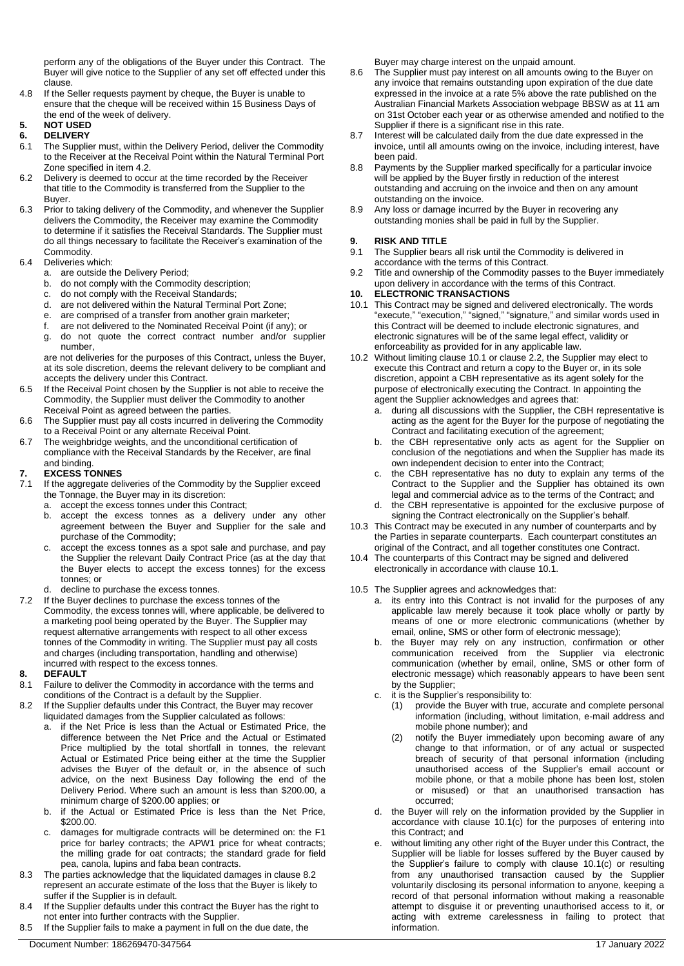perform any of the obligations of the Buyer under this Contract. The Buyer will give notice to the Supplier of any set off effected under this clause.

4.8 If the Seller requests payment by cheque, the Buyer is unable to ensure that the cheque will be received within 15 Business Days of the end of the week of delivery.

#### **5. NOT USED 6. DELIVERY**

- <span id="page-1-0"></span>6.1 The Supplier must, within the Delivery Period, deliver the Commodity to the Receiver at the Receival Point within the Natural Terminal Port Zone specified in item 4.2.
- 6.2 Delivery is deemed to occur at the time recorded by the Receiver that title to the Commodity is transferred from the Supplier to the Buyer.
- 6.3 Prior to taking delivery of the Commodity, and whenever the Supplier delivers the Commodity, the Receiver may examine the Commodity to determine if it satisfies the Receival Standards. The Supplier must do all things necessary to facilitate the Receiver's examination of the Commodity.

## 6.4 Deliveries which:

- a. are outside the Delivery Period;<br>b. do not comply with the Commod
- do not comply with the Commodity description;
- c. do not comply with the Receival Standards;
- d. are not delivered within the Natural Terminal Port Zone;
- e. are comprised of a transfer from another grain marketer;
- f. are not delivered to the Nominated Receival Point (if any); or
- g. do not quote the correct contract number and/or supplier number,

are not deliveries for the purposes of this Contract, unless the Buyer, at its sole discretion, deems the relevant delivery to be compliant and accepts the delivery under this Contract.

- 6.5 If the Receival Point chosen by the Supplier is not able to receive the Commodity, the Supplier must deliver the Commodity to another Receival Point as agreed between the parties.
- 6.6 The Supplier must pay all costs incurred in delivering the Commodity to a Receival Point or any alternate Receival Point.
- 6.7 The weighbridge weights, and the unconditional certification of compliance with the Receival Standards by the Receiver, are final and binding.

## **7. EXCESS TONNES**

- 7.1 If the aggregate deliveries of the Commodity by the Supplier exceed the Tonnage, the Buyer may in its discretion:
	- a. accept the excess tonnes under this Contract;
	- b. accept the excess tonnes as a delivery under any other agreement between the Buyer and Supplier for the sale and purchase of the Commodity;
	- c. accept the excess tonnes as a spot sale and purchase, and pay the Supplier the relevant Daily Contract Price (as at the day that the Buyer elects to accept the excess tonnes) for the excess tonnes; or
	- d. decline to purchase the excess tonnes.
- 7.2 If the Buyer declines to purchase the excess tonnes of the Commodity, the excess tonnes will, where applicable, be delivered to a marketing pool being operated by the Buyer. The Supplier may request alternative arrangements with respect to all other excess tonnes of the Commodity in writing. The Supplier must pay all costs and charges (including transportation, handling and otherwise) incurred with respect to the excess tonnes.

## <span id="page-1-1"></span>**8. DEFAULT**

- 8.1 Failure to deliver the Commodity in accordance with the terms and conditions of the Contract is a default by the Supplier.
- <span id="page-1-2"></span>8.2 If the Supplier defaults under this Contract, the Buyer may recover liquidated damages from the Supplier calculated as follows:
	- if the Net Price is less than the Actual or Estimated Price, the difference between the Net Price and the Actual or Estimated Price multiplied by the total shortfall in tonnes, the relevant Actual or Estimated Price being either at the time the Supplier advises the Buyer of the default or, in the absence of such advice, on the next Business Day following the end of the Delivery Period. Where such an amount is less than \$200.00, a minimum charge of \$200.00 applies; or
	- b. if the Actual or Estimated Price is less than the Net Price, \$200.00.
	- damages for multigrade contracts will be determined on: the F1 price for barley contracts; the APW1 price for wheat contracts; the milling grade for oat contracts; the standard grade for field pea, canola, lupins and faba bean contracts.
- 8.3 The parties acknowledge that the liquidated damages in claus[e 8.2](#page-1-2) represent an accurate estimate of the loss that the Buyer is likely to suffer if the Supplier is in default.
- 8.4 If the Supplier defaults under this contract the Buyer has the right to not enter into further contracts with the Supplier.
- 8.5 If the Supplier fails to make a payment in full on the due date, the

Buyer may charge interest on the unpaid amount.

- 8.6 The Supplier must pay interest on all amounts owing to the Buyer on any invoice that remains outstanding upon expiration of the due date expressed in the invoice at a rate 5% above the rate published on the Australian Financial Markets Association webpage BBSW as at 11 am on 31st October each year or as otherwise amended and notified to the Supplier if there is a significant rise in this rate.
- 8.7 Interest will be calculated daily from the due date expressed in the invoice, until all amounts owing on the invoice, including interest, have been paid.
- 8.8 Payments by the Supplier marked specifically for a particular invoice will be applied by the Buyer firstly in reduction of the interest outstanding and accruing on the invoice and then on any amount outstanding on the invoice.
- 8.9 Any loss or damage incurred by the Buyer in recovering any outstanding monies shall be paid in full by the Supplier.

## **9. RISK AND TITLE**

- 9.1 The Supplier bears all risk until the Commodity is delivered in accordance with the terms of this Contract.
- 9.2 Title and ownership of the Commodity passes to the Buyer immediately upon delivery in accordance with the terms of this Contract.

## **10. ELECTRONIC TRANSACTIONS**

- <span id="page-1-3"></span>10.1 This Contract may be signed and delivered electronically. The words "execute," "execution," "signed," "signature," and similar words used in this Contract will be deemed to include electronic signatures, and electronic signatures will be of the same legal effect, validity or enforceability as provided for in any applicable law.
- 10.2 Without limiting clause [10.1](#page-1-3) or clause 2.2, the Supplier may elect to execute this Contract and return a copy to the Buyer or, in its sole discretion, appoint a CBH representative as its agent solely for the purpose of electronically executing the Contract. In appointing the agent the Supplier acknowledges and agrees that:
	- a. during all discussions with the Supplier, the CBH representative is acting as the agent for the Buyer for the purpose of negotiating the Contract and facilitating execution of the agreement;
	- b. the CBH representative only acts as agent for the Supplier on conclusion of the negotiations and when the Supplier has made its own independent decision to enter into the Contract;
	- the CBH representative has no duty to explain any terms of the Contract to the Supplier and the Supplier has obtained its own legal and commercial advice as to the terms of the Contract; and
	- the CBH representative is appointed for the exclusive purpose of signing the Contract electronically on the Supplier's behalf.
- 10.3 This Contract may be executed in any number of counterparts and by the Parties in separate counterparts. Each counterpart constitutes an original of the Contract, and all together constitutes one Contract.
- 10.4 The counterparts of this Contract may be signed and delivered electronically in accordance with claus[e 10.1.](#page-1-3)
- 10.5 The Supplier agrees and acknowledges that:
	- a. its entry into this Contract is not invalid for the purposes of any applicable law merely because it took place wholly or partly by means of one or more electronic communications (whether by email, online, SMS or other form of electronic message);
	- b. the Buyer may rely on any instruction, confirmation or other communication received from the Supplier via electronic communication (whether by email, online, SMS or other form of electronic message) which reasonably appears to have been sent by the Supplier;
	- c. it is the Supplier's responsibility to:
		- (1) provide the Buyer with true, accurate and complete personal information (including, without limitation, e-mail address and mobile phone number); and
		- (2) notify the Buyer immediately upon becoming aware of any change to that information, or of any actual or suspected breach of security of that personal information (including unauthorised access of the Supplier's email account or mobile phone, or that a mobile phone has been lost, stolen or misused) or that an unauthorised transaction has occurred;
	- d. the Buyer will rely on the information provided by the Supplier in accordance with clause [10.1\(](#page-1-3)c) for the purposes of entering into this Contract; and
	- without limiting any other right of the Buyer under this Contract, the Supplier will be liable for losses suffered by the Buyer caused by the Supplier's failure to comply with clause [10.1\(](#page-1-3)c) or resulting from any unauthorised transaction caused by the Supplier voluntarily disclosing its personal information to anyone, keeping a record of that personal information without making a reasonable attempt to disguise it or preventing unauthorised access to it, or acting with extreme carelessness in failing to protect that information.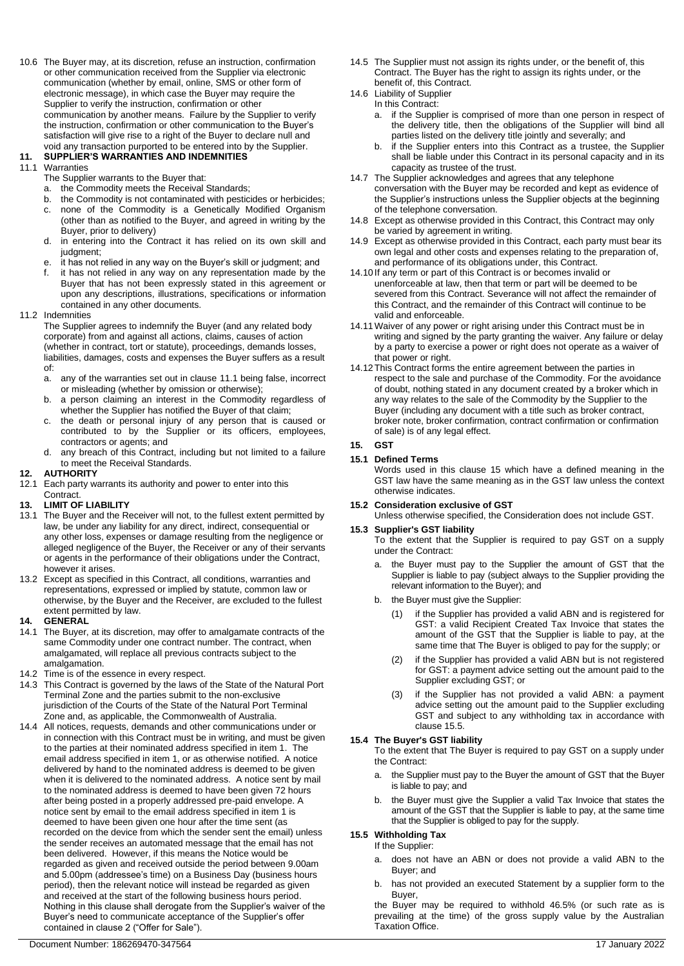10.6 The Buyer may, at its discretion, refuse an instruction, confirmation or other communication received from the Supplier via electronic communication (whether by email, online, SMS or other form of electronic message), in which case the Buyer may require the Supplier to verify the instruction, confirmation or other communication by another means. Failure by the Supplier to verify the instruction, confirmation or other communication to the Buyer's satisfaction will give rise to a right of the Buyer to declare null and void any transaction purported to be entered into by the Supplier.

## **11. SUPPLIER'S WARRANTIES AND INDEMNITIES**

#### <span id="page-2-0"></span>11.1 Warranties

- The Supplier warrants to the Buyer that:
- a. the Commodity meets the Receival Standards;
- b. the Commodity is not contaminated with pesticides or herbicides;
- c. none of the Commodity is a Genetically Modified Organism (other than as notified to the Buyer, and agreed in writing by the Buyer, prior to delivery)
- in entering into the Contract it has relied on its own skill and judgment;
- e. it has not relied in any way on the Buyer's skill or judgment; and
- f. it has not relied in any way on any representation made by the Buyer that has not been expressly stated in this agreement or upon any descriptions, illustrations, specifications or information contained in any other documents.
- 11.2 Indemnities

The Supplier agrees to indemnify the Buyer (and any related body corporate) from and against all actions, claims, causes of action (whether in contract, tort or statute), proceedings, demands losses, liabilities, damages, costs and expenses the Buyer suffers as a result of:

- a. any of the warranties set out in clause [11.1](#page-2-0) being false, incorrect or misleading (whether by omission or otherwise);
- b. a person claiming an interest in the Commodity regardless of whether the Supplier has notified the Buyer of that claim;
- c. the death or personal injury of any person that is caused or contributed to by the Supplier or its officers, employees, contractors or agents; and
- d. any breach of this Contract, including but not limited to a failure to meet the Receival Standards.

## **12. AUTHORITY**

12.1 Each party warrants its authority and power to enter into this Contract.

#### **13. LIMIT OF LIABILITY**

- 13.1 The Buyer and the Receiver will not, to the fullest extent permitted by law, be under any liability for any direct, indirect, consequential or any other loss, expenses or damage resulting from the negligence or alleged negligence of the Buyer, the Receiver or any of their servants or agents in the performance of their obligations under the Contract, however it arises.
- 13.2 Except as specified in this Contract, all conditions, warranties and representations, expressed or implied by statute, common law or otherwise, by the Buyer and the Receiver, are excluded to the fullest extent permitted by law.

#### **14. GENERAL**

- 14.1 The Buyer, at its discretion, may offer to amalgamate contracts of the same Commodity under one contract number. The contract, when amalgamated, will replace all previous contracts subject to the amalgamation.
- 14.2 Time is of the essence in every respect.
- 14.3 This Contract is governed by the laws of the State of the Natural Port Terminal Zone and the parties submit to the non-exclusive jurisdiction of the Courts of the State of the Natural Port Terminal Zone and, as applicable, the Commonwealth of Australia.
- 14.4 All notices, requests, demands and other communications under or in connection with this Contract must be in writing, and must be given to the parties at their nominated address specified in item 1. The email address specified in item 1, or as otherwise notified. A notice delivered by hand to the nominated address is deemed to be given when it is delivered to the nominated address. A notice sent by mail to the nominated address is deemed to have been given 72 hours after being posted in a properly addressed pre-paid envelope. A notice sent by email to the email address specified in item 1 is deemed to have been given one hour after the time sent (as recorded on the device from which the sender sent the email) unless the sender receives an automated message that the email has not been delivered. However, if this means the Notice would be regarded as given and received outside the period between 9.00am and 5.00pm (addressee's time) on a Business Day (business hours period), then the relevant notice will instead be regarded as given and received at the start of the following business hours period. Nothing in this clause shall derogate from the Supplier's waiver of the Buyer's need to communicate acceptance of the Supplier's offer contained in clause 2 ("Offer for Sale").
- 14.5 The Supplier must not assign its rights under, or the benefit of, this Contract. The Buyer has the right to assign its rights under, or the benefit of, this Contract.
- 14.6 Liability of Supplier
	- In this Contract:
		- a. if the Supplier is comprised of more than one person in respect of the delivery title, then the obligations of the Supplier will bind all parties listed on the delivery title jointly and severally; and
		- b. if the Supplier enters into this Contract as a trustee, the Supplier shall be liable under this Contract in its personal capacity and in its capacity as trustee of the trust.
- 14.7 The Supplier acknowledges and agrees that any telephone conversation with the Buyer may be recorded and kept as evidence of the Supplier's instructions unless the Supplier objects at the beginning of the telephone conversation.
- 14.8 Except as otherwise provided in this Contract, this Contract may only be varied by agreement in writing.
- 14.9 Except as otherwise provided in this Contract, each party must bear its own legal and other costs and expenses relating to the preparation of, and performance of its obligations under, this Contract.
- 14.10 If any term or part of this Contract is or becomes invalid or unenforceable at law, then that term or part will be deemed to be severed from this Contract. Severance will not affect the remainder of this Contract, and the remainder of this Contract will continue to be valid and enforceable.
- 14.11Waiver of any power or right arising under this Contract must be in writing and signed by the party granting the waiver. Any failure or delay by a party to exercise a power or right does not operate as a waiver of that power or right.
- 14.12This Contract forms the entire agreement between the parties in respect to the sale and purchase of the Commodity. For the avoidance of doubt, nothing stated in any document created by a broker which in any way relates to the sale of the Commodity by the Supplier to the Buyer (including any document with a title such as broker contract, broker note, broker confirmation, contract confirmation or confirmation of sale) is of any legal effect.

#### <span id="page-2-1"></span>**15. GST**

#### **15.1 Defined Terms**

Words used in this clause [15](#page-2-1) which have a defined meaning in the GST law have the same meaning as in the GST law unless the context otherwise indicates.

#### **15.2 Consideration exclusive of GST**

Unless otherwise specified, the Consideration does not include GST.

#### **15.3 Supplier's GST liability**

To the extent that the Supplier is required to pay GST on a supply under the Contract:

- the Buyer must pay to the Supplier the amount of GST that the Supplier is liable to pay (subject always to the Supplier providing the relevant information to the Buyer); and
- b. the Buyer must give the Supplier:
	- (1) if the Supplier has provided a valid ABN and is registered for GST: a valid Recipient Created Tax Invoice that states the amount of the GST that the Supplier is liable to pay, at the same time that The Buyer is obliged to pay for the supply; or
	- (2) if the Supplier has provided a valid ABN but is not registered for GST: a payment advice setting out the amount paid to the Supplier excluding GST; or
	- (3) if the Supplier has not provided a valid ABN: a payment advice setting out the amount paid to the Supplier excluding GST and subject to any withholding tax in accordance with clause [15.5.](#page-2-2)

## **15.4 The Buyer's GST liability**

To the extent that The Buyer is required to pay GST on a supply under the Contract:

- a. the Supplier must pay to the Buyer the amount of GST that the Buyer is liable to pay; and
- b. the Buyer must give the Supplier a valid Tax Invoice that states the amount of the GST that the Supplier is liable to pay, at the same time that the Supplier is obliged to pay for the supply.

## <span id="page-2-2"></span>**15.5 Withholding Tax**

If the Supplier:

- a. does not have an ABN or does not provide a valid ABN to the Buyer; and
- b. has not provided an executed Statement by a supplier form to the Buyer,

the Buyer may be required to withhold 46.5% (or such rate as is prevailing at the time) of the gross supply value by the Australian Taxation Office.